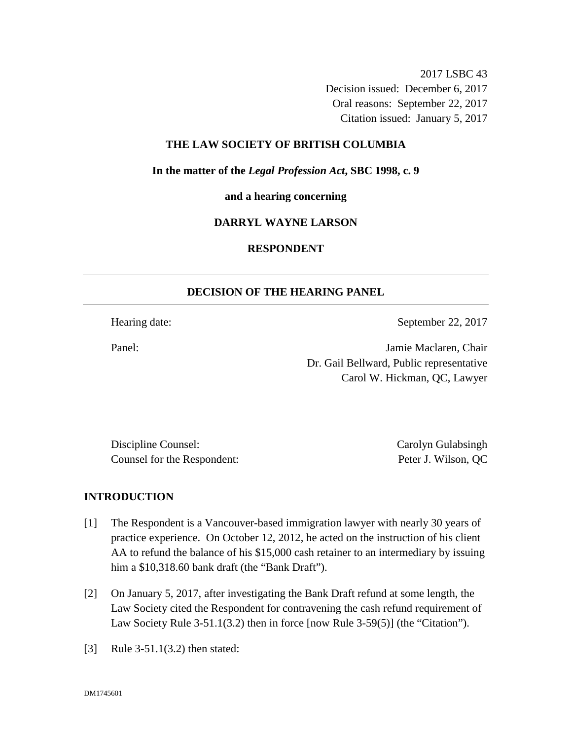2017 LSBC 43 Decision issued: December 6, 2017 Oral reasons: September 22, 2017 Citation issued: January 5, 2017

### **THE LAW SOCIETY OF BRITISH COLUMBIA**

**In the matter of the** *Legal Profession Act***, SBC 1998, c. 9** 

**and a hearing concerning**

#### **DARRYL WAYNE LARSON**

## **RESPONDENT**

### **DECISION OF THE HEARING PANEL**

Hearing date: September 22, 2017

Panel: Jamie Maclaren, Chair Dr. Gail Bellward, Public representative Carol W. Hickman, QC, Lawyer

Discipline Counsel: Carolyn Gulabsingh Counsel for the Respondent: Peter J. Wilson, QC

### **INTRODUCTION**

- [1] The Respondent is a Vancouver-based immigration lawyer with nearly 30 years of practice experience. On October 12, 2012, he acted on the instruction of his client AA to refund the balance of his \$15,000 cash retainer to an intermediary by issuing him a \$10,318.60 bank draft (the "Bank Draft").
- [2] On January 5, 2017, after investigating the Bank Draft refund at some length, the Law Society cited the Respondent for contravening the cash refund requirement of Law Society Rule 3-51.1(3.2) then in force [now Rule 3-59(5)] (the "Citation").
- [3] Rule 3-51.1(3.2) then stated: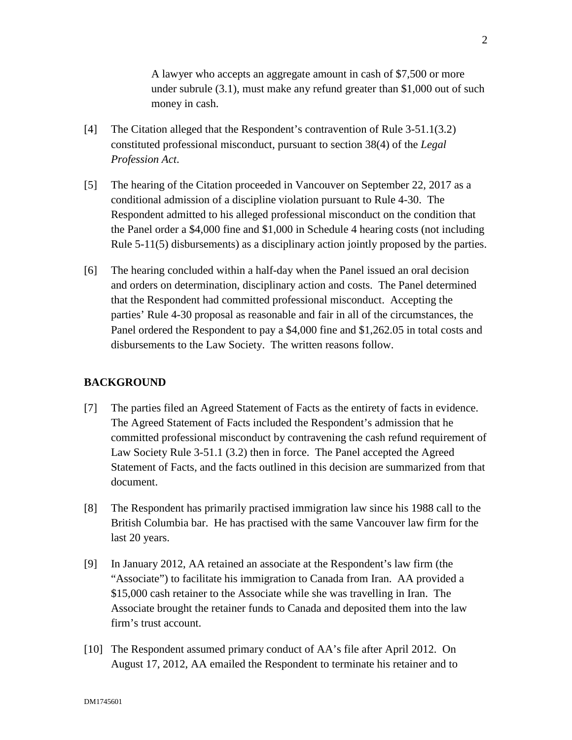A lawyer who accepts an aggregate amount in cash of \$7,500 or more under subrule (3.1), must make any refund greater than \$1,000 out of such money in cash.

- [4] The Citation alleged that the Respondent's contravention of Rule 3-51.1(3.2) constituted professional misconduct, pursuant to section 38(4) of the *Legal Profession Act*.
- [5] The hearing of the Citation proceeded in Vancouver on September 22, 2017 as a conditional admission of a discipline violation pursuant to Rule 4-30. The Respondent admitted to his alleged professional misconduct on the condition that the Panel order a \$4,000 fine and \$1,000 in Schedule 4 hearing costs (not including Rule 5-11(5) disbursements) as a disciplinary action jointly proposed by the parties.
- [6] The hearing concluded within a half-day when the Panel issued an oral decision and orders on determination, disciplinary action and costs. The Panel determined that the Respondent had committed professional misconduct. Accepting the parties' Rule 4-30 proposal as reasonable and fair in all of the circumstances, the Panel ordered the Respondent to pay a \$4,000 fine and \$1,262.05 in total costs and disbursements to the Law Society. The written reasons follow.

### **BACKGROUND**

- [7] The parties filed an Agreed Statement of Facts as the entirety of facts in evidence. The Agreed Statement of Facts included the Respondent's admission that he committed professional misconduct by contravening the cash refund requirement of Law Society Rule 3-51.1 (3.2) then in force. The Panel accepted the Agreed Statement of Facts, and the facts outlined in this decision are summarized from that document.
- [8] The Respondent has primarily practised immigration law since his 1988 call to the British Columbia bar. He has practised with the same Vancouver law firm for the last 20 years.
- [9] In January 2012, AA retained an associate at the Respondent's law firm (the "Associate") to facilitate his immigration to Canada from Iran. AA provided a \$15,000 cash retainer to the Associate while she was travelling in Iran. The Associate brought the retainer funds to Canada and deposited them into the law firm's trust account.
- [10] The Respondent assumed primary conduct of AA's file after April 2012. On August 17, 2012, AA emailed the Respondent to terminate his retainer and to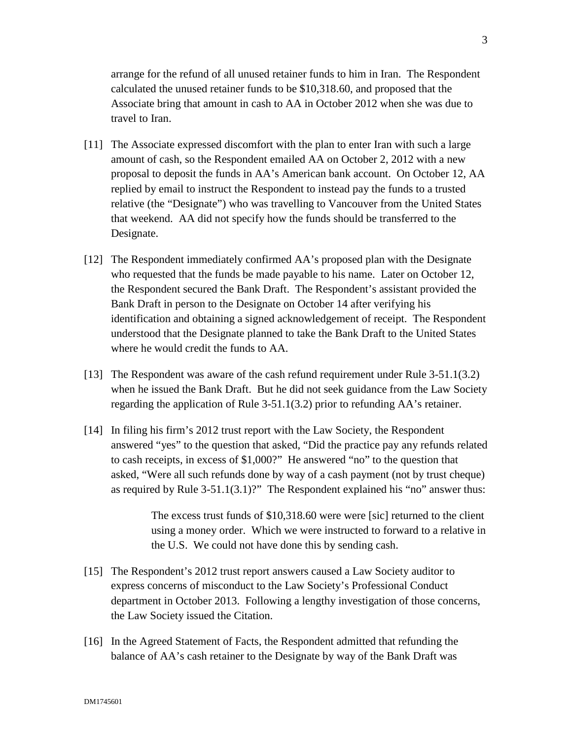arrange for the refund of all unused retainer funds to him in Iran. The Respondent calculated the unused retainer funds to be \$10,318.60, and proposed that the Associate bring that amount in cash to AA in October 2012 when she was due to travel to Iran.

- [11] The Associate expressed discomfort with the plan to enter Iran with such a large amount of cash, so the Respondent emailed AA on October 2, 2012 with a new proposal to deposit the funds in AA's American bank account. On October 12, AA replied by email to instruct the Respondent to instead pay the funds to a trusted relative (the "Designate") who was travelling to Vancouver from the United States that weekend. AA did not specify how the funds should be transferred to the Designate.
- [12] The Respondent immediately confirmed AA's proposed plan with the Designate who requested that the funds be made payable to his name. Later on October 12, the Respondent secured the Bank Draft. The Respondent's assistant provided the Bank Draft in person to the Designate on October 14 after verifying his identification and obtaining a signed acknowledgement of receipt. The Respondent understood that the Designate planned to take the Bank Draft to the United States where he would credit the funds to AA.
- [13] The Respondent was aware of the cash refund requirement under Rule 3-51.1(3.2) when he issued the Bank Draft. But he did not seek guidance from the Law Society regarding the application of Rule 3-51.1(3.2) prior to refunding AA's retainer.
- [14] In filing his firm's 2012 trust report with the Law Society, the Respondent answered "yes" to the question that asked, "Did the practice pay any refunds related to cash receipts, in excess of \$1,000?" He answered "no" to the question that asked, "Were all such refunds done by way of a cash payment (not by trust cheque) as required by Rule 3-51.1(3.1)?" The Respondent explained his "no" answer thus:

The excess trust funds of \$10,318.60 were were [sic] returned to the client using a money order. Which we were instructed to forward to a relative in the U.S. We could not have done this by sending cash.

- [15] The Respondent's 2012 trust report answers caused a Law Society auditor to express concerns of misconduct to the Law Society's Professional Conduct department in October 2013. Following a lengthy investigation of those concerns, the Law Society issued the Citation.
- [16] In the Agreed Statement of Facts, the Respondent admitted that refunding the balance of AA's cash retainer to the Designate by way of the Bank Draft was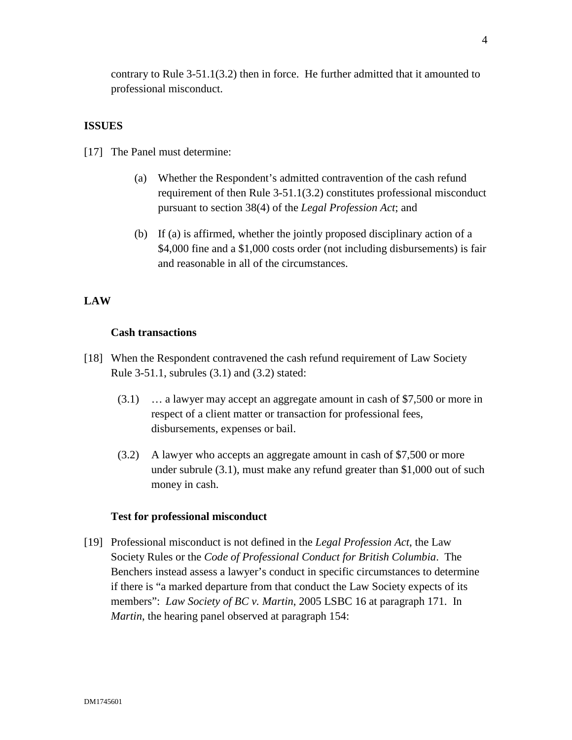contrary to Rule 3-51.1(3.2) then in force. He further admitted that it amounted to professional misconduct.

#### **ISSUES**

[17] The Panel must determine:

- (a) Whether the Respondent's admitted contravention of the cash refund requirement of then Rule 3-51.1(3.2) constitutes professional misconduct pursuant to section 38(4) of the *Legal Profession Act*; and
- (b) If (a) is affirmed, whether the jointly proposed disciplinary action of a \$4,000 fine and a \$1,000 costs order (not including disbursements) is fair and reasonable in all of the circumstances.

## **LAW**

#### **Cash transactions**

- [18] When the Respondent contravened the cash refund requirement of Law Society Rule 3-51.1, subrules (3.1) and (3.2) stated:
	- (3.1) … a lawyer may accept an aggregate amount in cash of \$7,500 or more in respect of a client matter or transaction for professional fees, disbursements, expenses or bail.
	- (3.2) A lawyer who accepts an aggregate amount in cash of \$7,500 or more under subrule (3.1), must make any refund greater than \$1,000 out of such money in cash.

#### **Test for professional misconduct**

[19] Professional misconduct is not defined in the *Legal Profession Act*, the Law Society Rules or the *Code of Professional Conduct for British Columbia*. The Benchers instead assess a lawyer's conduct in specific circumstances to determine if there is "a marked departure from that conduct the Law Society expects of its members": *Law Society of BC v. Martin*, 2005 LSBC 16 at paragraph 171. In *Martin*, the hearing panel observed at paragraph 154: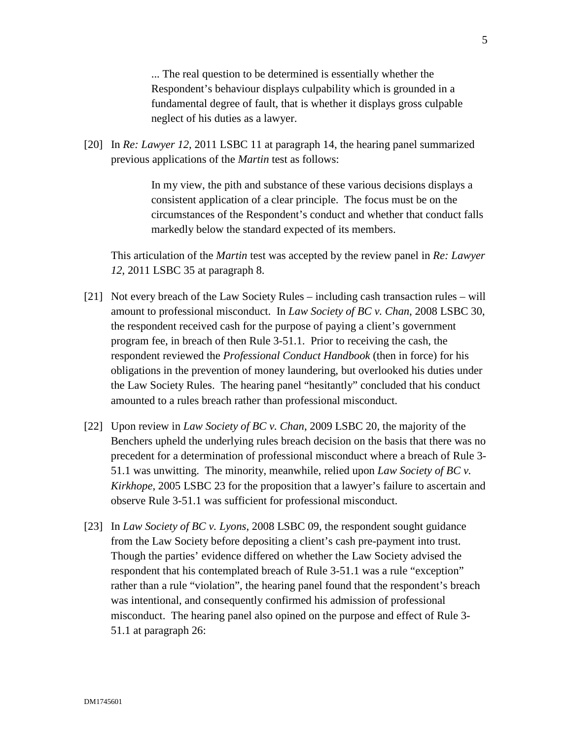... The real question to be determined is essentially whether the Respondent's behaviour displays culpability which is grounded in a fundamental degree of fault, that is whether it displays gross culpable neglect of his duties as a lawyer.

[20] In *Re: Lawyer 12*, 2011 LSBC 11 at paragraph 14, the hearing panel summarized previous applications of the *Martin* test as follows:

> In my view, the pith and substance of these various decisions displays a consistent application of a clear principle. The focus must be on the circumstances of the Respondent's conduct and whether that conduct falls markedly below the standard expected of its members.

This articulation of the *Martin* test was accepted by the review panel in *Re: Lawyer 12*, 2011 LSBC 35 at paragraph 8.

- [21] Not every breach of the Law Society Rules including cash transaction rules will amount to professional misconduct. In *Law Society of BC v. Chan*, 2008 LSBC 30, the respondent received cash for the purpose of paying a client's government program fee, in breach of then Rule 3-51.1. Prior to receiving the cash, the respondent reviewed the *Professional Conduct Handbook* (then in force) for his obligations in the prevention of money laundering, but overlooked his duties under the Law Society Rules. The hearing panel "hesitantly" concluded that his conduct amounted to a rules breach rather than professional misconduct.
- [22] Upon review in *Law Society of BC v. Chan*, 2009 LSBC 20, the majority of the Benchers upheld the underlying rules breach decision on the basis that there was no precedent for a determination of professional misconduct where a breach of Rule 3- 51.1 was unwitting. The minority, meanwhile, relied upon *Law Society of BC v. Kirkhope*, 2005 LSBC 23 for the proposition that a lawyer's failure to ascertain and observe Rule 3-51.1 was sufficient for professional misconduct.
- [23] In *Law Society of BC v. Lyons*, 2008 LSBC 09, the respondent sought guidance from the Law Society before depositing a client's cash pre-payment into trust. Though the parties' evidence differed on whether the Law Society advised the respondent that his contemplated breach of Rule 3-51.1 was a rule "exception" rather than a rule "violation", the hearing panel found that the respondent's breach was intentional, and consequently confirmed his admission of professional misconduct. The hearing panel also opined on the purpose and effect of Rule 3- 51.1 at paragraph 26: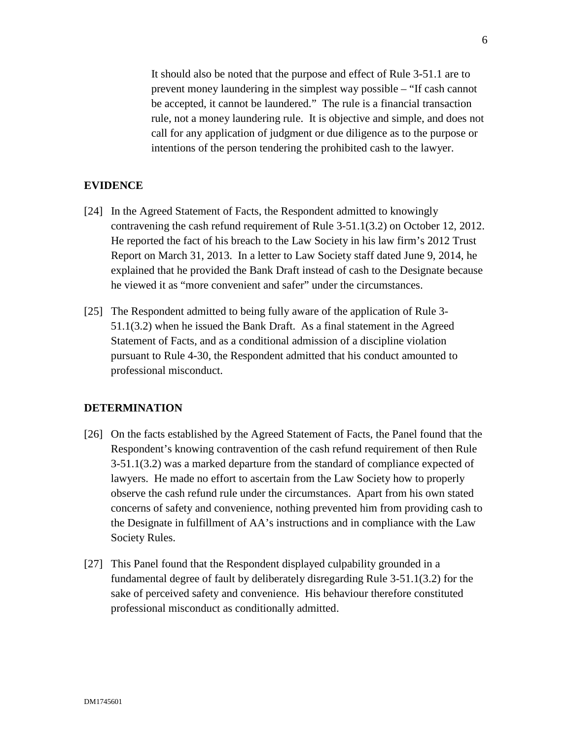It should also be noted that the purpose and effect of Rule 3-51.1 are to prevent money laundering in the simplest way possible – "If cash cannot be accepted, it cannot be laundered." The rule is a financial transaction rule, not a money laundering rule. It is objective and simple, and does not call for any application of judgment or due diligence as to the purpose or intentions of the person tendering the prohibited cash to the lawyer.

### **EVIDENCE**

- [24] In the Agreed Statement of Facts, the Respondent admitted to knowingly contravening the cash refund requirement of Rule 3-51.1(3.2) on October 12, 2012. He reported the fact of his breach to the Law Society in his law firm's 2012 Trust Report on March 31, 2013. In a letter to Law Society staff dated June 9, 2014, he explained that he provided the Bank Draft instead of cash to the Designate because he viewed it as "more convenient and safer" under the circumstances.
- [25] The Respondent admitted to being fully aware of the application of Rule 3- 51.1(3.2) when he issued the Bank Draft. As a final statement in the Agreed Statement of Facts, and as a conditional admission of a discipline violation pursuant to Rule 4-30, the Respondent admitted that his conduct amounted to professional misconduct.

### **DETERMINATION**

- [26] On the facts established by the Agreed Statement of Facts, the Panel found that the Respondent's knowing contravention of the cash refund requirement of then Rule 3-51.1(3.2) was a marked departure from the standard of compliance expected of lawyers. He made no effort to ascertain from the Law Society how to properly observe the cash refund rule under the circumstances. Apart from his own stated concerns of safety and convenience, nothing prevented him from providing cash to the Designate in fulfillment of AA's instructions and in compliance with the Law Society Rules.
- [27] This Panel found that the Respondent displayed culpability grounded in a fundamental degree of fault by deliberately disregarding Rule 3-51.1(3.2) for the sake of perceived safety and convenience. His behaviour therefore constituted professional misconduct as conditionally admitted.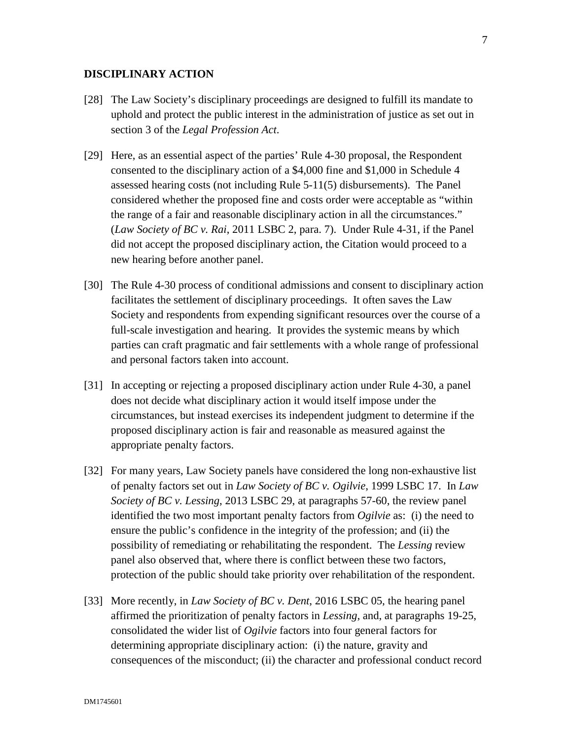## **DISCIPLINARY ACTION**

- [28] The Law Society's disciplinary proceedings are designed to fulfill its mandate to uphold and protect the public interest in the administration of justice as set out in section 3 of the *Legal Profession Act*.
- [29] Here, as an essential aspect of the parties' Rule 4-30 proposal, the Respondent consented to the disciplinary action of a \$4,000 fine and \$1,000 in Schedule 4 assessed hearing costs (not including Rule 5-11(5) disbursements). The Panel considered whether the proposed fine and costs order were acceptable as "within the range of a fair and reasonable disciplinary action in all the circumstances." (*Law Society of BC v. Rai*, 2011 LSBC 2, para. 7). Under Rule 4-31, if the Panel did not accept the proposed disciplinary action, the Citation would proceed to a new hearing before another panel.
- [30] The Rule 4-30 process of conditional admissions and consent to disciplinary action facilitates the settlement of disciplinary proceedings. It often saves the Law Society and respondents from expending significant resources over the course of a full-scale investigation and hearing. It provides the systemic means by which parties can craft pragmatic and fair settlements with a whole range of professional and personal factors taken into account.
- [31] In accepting or rejecting a proposed disciplinary action under Rule 4-30, a panel does not decide what disciplinary action it would itself impose under the circumstances, but instead exercises its independent judgment to determine if the proposed disciplinary action is fair and reasonable as measured against the appropriate penalty factors.
- [32] For many years, Law Society panels have considered the long non-exhaustive list of penalty factors set out in *Law Society of BC v. Ogilvie*, 1999 LSBC 17. In *Law Society of BC v. Lessing*, 2013 LSBC 29, at paragraphs 57-60, the review panel identified the two most important penalty factors from *Ogilvie* as: (i) the need to ensure the public's confidence in the integrity of the profession; and (ii) the possibility of remediating or rehabilitating the respondent. The *Lessing* review panel also observed that, where there is conflict between these two factors, protection of the public should take priority over rehabilitation of the respondent.
- [33] More recently, in *Law Society of BC v. Dent*, 2016 LSBC 05, the hearing panel affirmed the prioritization of penalty factors in *Lessing*, and, at paragraphs 19-25, consolidated the wider list of *Ogilvie* factors into four general factors for determining appropriate disciplinary action: (i) the nature, gravity and consequences of the misconduct; (ii) the character and professional conduct record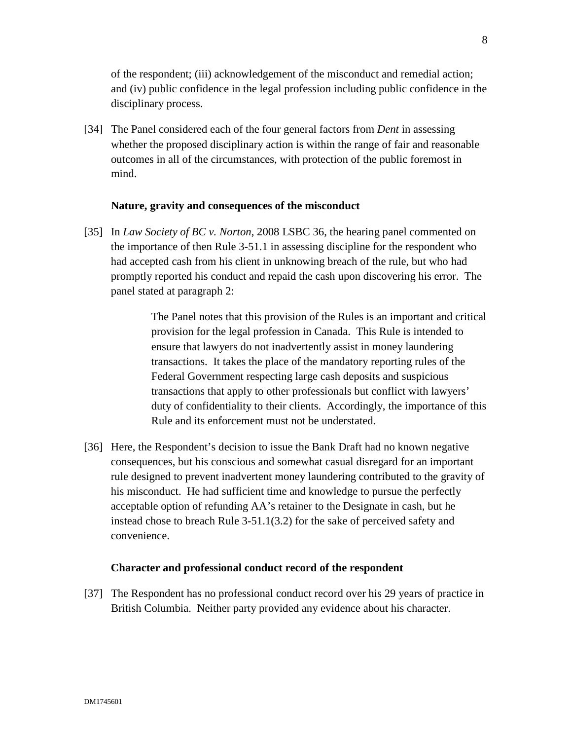of the respondent; (iii) acknowledgement of the misconduct and remedial action; and (iv) public confidence in the legal profession including public confidence in the disciplinary process.

[34] The Panel considered each of the four general factors from *Dent* in assessing whether the proposed disciplinary action is within the range of fair and reasonable outcomes in all of the circumstances, with protection of the public foremost in mind.

### **Nature, gravity and consequences of the misconduct**

[35] In *Law Society of BC v. Norton*, 2008 LSBC 36, the hearing panel commented on the importance of then Rule 3-51.1 in assessing discipline for the respondent who had accepted cash from his client in unknowing breach of the rule, but who had promptly reported his conduct and repaid the cash upon discovering his error. The panel stated at paragraph 2:

> The Panel notes that this provision of the Rules is an important and critical provision for the legal profession in Canada. This Rule is intended to ensure that lawyers do not inadvertently assist in money laundering transactions. It takes the place of the mandatory reporting rules of the Federal Government respecting large cash deposits and suspicious transactions that apply to other professionals but conflict with lawyers' duty of confidentiality to their clients. Accordingly, the importance of this Rule and its enforcement must not be understated.

[36] Here, the Respondent's decision to issue the Bank Draft had no known negative consequences, but his conscious and somewhat casual disregard for an important rule designed to prevent inadvertent money laundering contributed to the gravity of his misconduct. He had sufficient time and knowledge to pursue the perfectly acceptable option of refunding AA's retainer to the Designate in cash, but he instead chose to breach Rule 3-51.1(3.2) for the sake of perceived safety and convenience.

#### **Character and professional conduct record of the respondent**

[37] The Respondent has no professional conduct record over his 29 years of practice in British Columbia. Neither party provided any evidence about his character.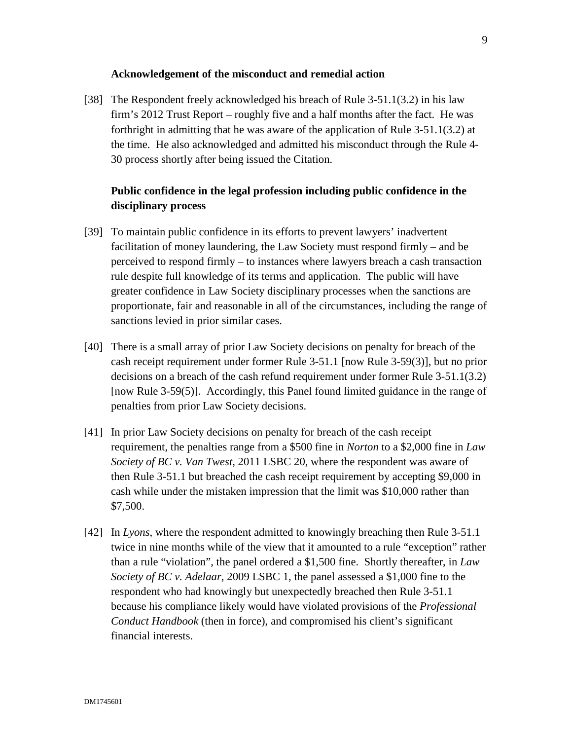### **Acknowledgement of the misconduct and remedial action**

[38] The Respondent freely acknowledged his breach of Rule 3-51.1(3.2) in his law firm's 2012 Trust Report – roughly five and a half months after the fact. He was forthright in admitting that he was aware of the application of Rule 3-51.1(3.2) at the time. He also acknowledged and admitted his misconduct through the Rule 4- 30 process shortly after being issued the Citation.

# **Public confidence in the legal profession including public confidence in the disciplinary process**

- [39] To maintain public confidence in its efforts to prevent lawyers' inadvertent facilitation of money laundering, the Law Society must respond firmly – and be perceived to respond firmly – to instances where lawyers breach a cash transaction rule despite full knowledge of its terms and application. The public will have greater confidence in Law Society disciplinary processes when the sanctions are proportionate, fair and reasonable in all of the circumstances, including the range of sanctions levied in prior similar cases.
- [40] There is a small array of prior Law Society decisions on penalty for breach of the cash receipt requirement under former Rule 3-51.1 [now Rule 3-59(3)], but no prior decisions on a breach of the cash refund requirement under former Rule 3-51.1(3.2) [now Rule 3-59(5)]. Accordingly, this Panel found limited guidance in the range of penalties from prior Law Society decisions.
- [41] In prior Law Society decisions on penalty for breach of the cash receipt requirement, the penalties range from a \$500 fine in *Norton* to a \$2,000 fine in *Law Society of BC v. Van Twest,* 2011 LSBC 20, where the respondent was aware of then Rule 3-51.1 but breached the cash receipt requirement by accepting \$9,000 in cash while under the mistaken impression that the limit was \$10,000 rather than \$7,500.
- [42] In *Lyons*, where the respondent admitted to knowingly breaching then Rule 3-51.1 twice in nine months while of the view that it amounted to a rule "exception" rather than a rule "violation", the panel ordered a \$1,500 fine. Shortly thereafter, in *Law Society of BC v. Adelaar*, 2009 LSBC 1, the panel assessed a \$1,000 fine to the respondent who had knowingly but unexpectedly breached then Rule 3-51.1 because his compliance likely would have violated provisions of the *Professional Conduct Handbook* (then in force), and compromised his client's significant financial interests.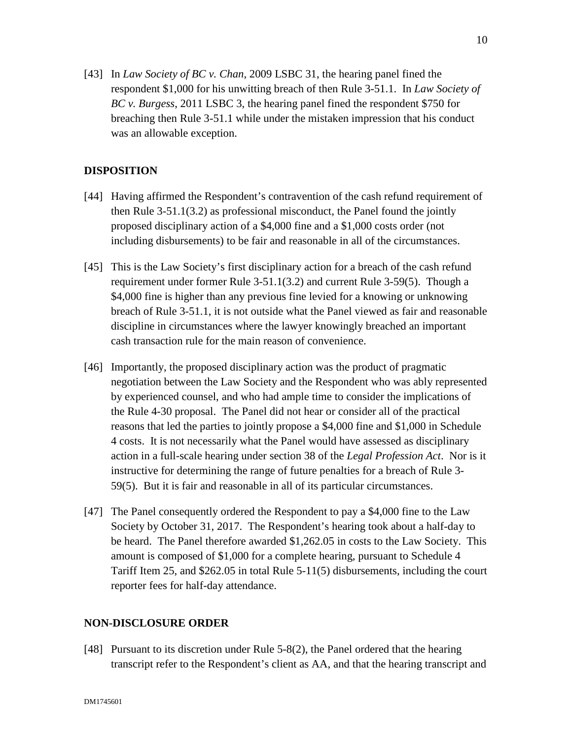[43] In *Law Society of BC v. Chan*, 2009 LSBC 31, the hearing panel fined the respondent \$1,000 for his unwitting breach of then Rule 3-51.1. In *Law Society of BC v. Burgess*, 2011 LSBC 3, the hearing panel fined the respondent \$750 for breaching then Rule 3-51.1 while under the mistaken impression that his conduct was an allowable exception.

# **DISPOSITION**

- [44] Having affirmed the Respondent's contravention of the cash refund requirement of then Rule 3-51.1(3.2) as professional misconduct, the Panel found the jointly proposed disciplinary action of a \$4,000 fine and a \$1,000 costs order (not including disbursements) to be fair and reasonable in all of the circumstances.
- [45] This is the Law Society's first disciplinary action for a breach of the cash refund requirement under former Rule 3-51.1(3.2) and current Rule 3-59(5). Though a \$4,000 fine is higher than any previous fine levied for a knowing or unknowing breach of Rule 3-51.1, it is not outside what the Panel viewed as fair and reasonable discipline in circumstances where the lawyer knowingly breached an important cash transaction rule for the main reason of convenience.
- [46] Importantly, the proposed disciplinary action was the product of pragmatic negotiation between the Law Society and the Respondent who was ably represented by experienced counsel, and who had ample time to consider the implications of the Rule 4-30 proposal. The Panel did not hear or consider all of the practical reasons that led the parties to jointly propose a \$4,000 fine and \$1,000 in Schedule 4 costs. It is not necessarily what the Panel would have assessed as disciplinary action in a full-scale hearing under section 38 of the *Legal Profession Act*. Nor is it instructive for determining the range of future penalties for a breach of Rule 3- 59(5). But it is fair and reasonable in all of its particular circumstances.
- [47] The Panel consequently ordered the Respondent to pay a \$4,000 fine to the Law Society by October 31, 2017. The Respondent's hearing took about a half-day to be heard. The Panel therefore awarded \$1,262.05 in costs to the Law Society. This amount is composed of \$1,000 for a complete hearing, pursuant to Schedule 4 Tariff Item 25, and \$262.05 in total Rule 5-11(5) disbursements, including the court reporter fees for half-day attendance.

### **NON-DISCLOSURE ORDER**

[48] Pursuant to its discretion under Rule 5-8(2), the Panel ordered that the hearing transcript refer to the Respondent's client as AA, and that the hearing transcript and